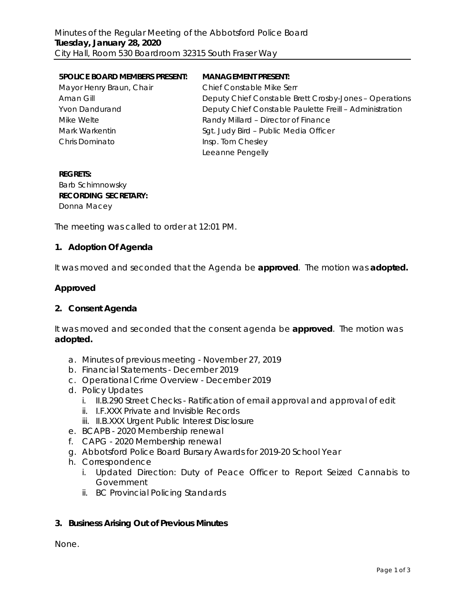| <b>5POLICE BOARD MEMBERS PRESENT:</b> | <b>MANAGEMENT PRESENT:</b>                              |
|---------------------------------------|---------------------------------------------------------|
| Mayor Henry Braun, Chair              | <b>Chief Constable Mike Serr</b>                        |
| Aman Gill                             | Deputy Chief Constable Brett Crosby-Jones - Operations  |
| <b>Yvon Dandurand</b>                 | Deputy Chief Constable Paulette Freill - Administration |
| Mike Welte                            | Randy Millard - Director of Finance                     |
| Mark Warkentin                        | Sgt. Judy Bird - Public Media Officer                   |
| Chris Dominato                        | Insp. Tom Chesley                                       |
|                                       | Leeanne Pengelly                                        |

## **REGRETS:** Barb Schimnowsky **RECORDING SECRETARY:** Donna Macey

The meeting was called to order at 12:01 PM.

## **1. Adoption Of Agenda**

It was moved and seconded that the Agenda be **approved**.The motion was **adopted.**

## **Approved**

#### **2. Consent Agenda**

It was moved and seconded that the consent agenda be **approved**.The motion was **adopted.**

- a. Minutes of previous meeting November 27, 2019
- b. Financial Statements December 2019
- c. Operational Crime Overview December 2019
- d. Policy Updates
	- i. II.B.290 Street Checks Ratification of email approval and approval of edit
	- ii. I.F.XXX Private and Invisible Records
	- iii. II.B.XXX Urgent Public Interest Disclosure
- e. BCAPB 2020 Membership renewal
- f. CAPG 2020 Membership renewal
- g. Abbotsford Police Board Bursary Awards for 2019-20 School Year
- h. Correspondence
	- i. Updated Direction: Duty of Peace Officer to Report Seized Cannabis to Government
	- ii. BC Provincial Policing Standards

## **3. Business Arising Out of Previous Minutes**

None.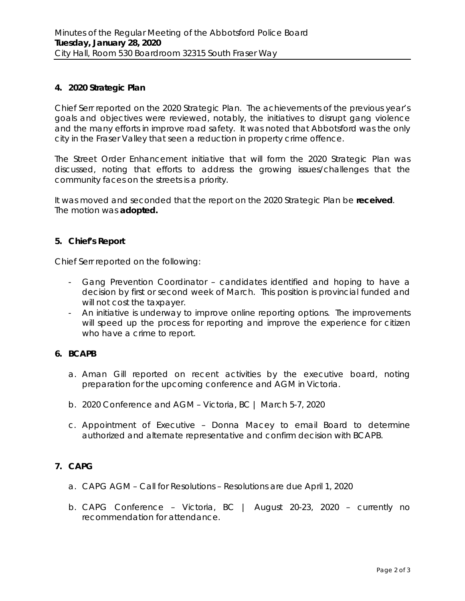## **4. 2020 Strategic Plan**

Chief Serr reported on the 2020 Strategic Plan. The achievements of the previous year's goals and objectives were reviewed, notably, the initiatives to disrupt gang violence and the many efforts in improve road safety. It was noted that Abbotsford was the only city in the Fraser Valley that seen a reduction in property crime offence.

The Street Order Enhancement initiative that will form the 2020 Strategic Plan was discussed, noting that efforts to address the growing issues/challenges that the community faces on the streets is a priority.

It was moved and seconded that the report on the 2020 Strategic Plan be **received**. The motion was **adopted.**

#### **5. Chief's Report**

Chief Serr reported on the following:

- Gang Prevention Coordinator candidates identified and hoping to have a decision by first or second week of March. This position is provincial funded and will not cost the taxpayer.
- An initiative is underway to improve online reporting options. The improvements will speed up the process for reporting and improve the experience for citizen who have a crime to report.

## **6. BCAPB**

- a. Aman Gill reported on recent activities by the executive board, noting preparation for the upcoming conference and AGM in Victoria.
- b. 2020 Conference and AGM Victoria, BC | March 5-7, 2020
- c. Appointment of Executive Donna Macey to email Board to determine authorized and alternate representative and confirm decision with BCAPB.

## **7. CAPG**

- a. CAPG AGM Call for Resolutions Resolutions are due April 1, 2020
- b. CAPG Conference Victoria, BC | August 20-23, 2020 currently no recommendation for attendance.